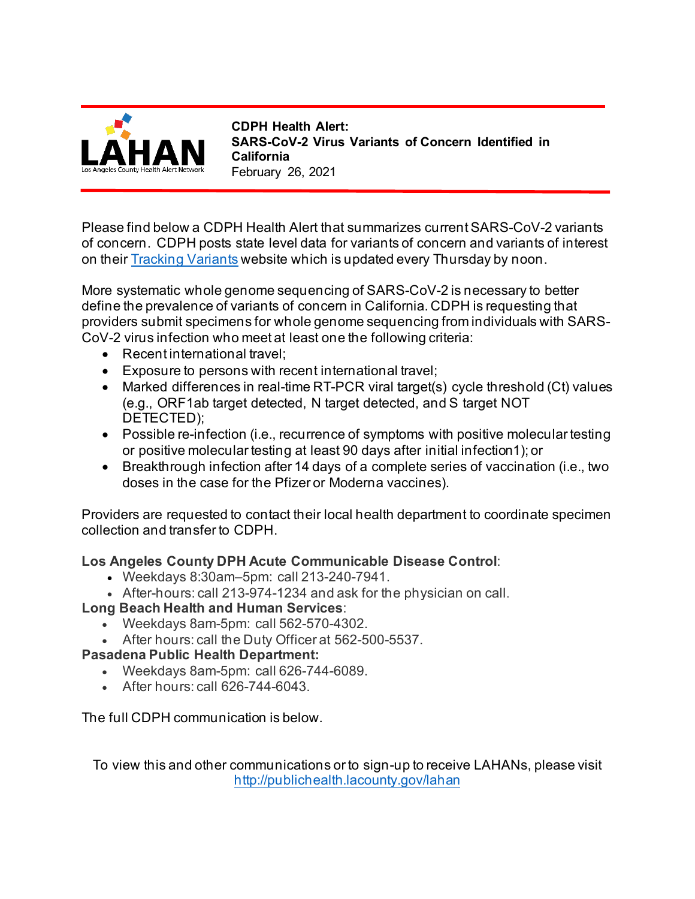

**CDPH Health Alert: SARS-CoV-2 Virus Variants of Concern Identified in California**  February 26, 2021

Please find below a CDPH Health Alert that summarizes current SARS-CoV-2 variants of concern. CDPH posts state level data for variants of concern and variants of interest on their [Tracking Variants](https://www.cdph.ca.gov/Programs/CID/DCDC/Pages/COVID-19/COVID-Variants.aspx) website which is updated every Thursday by noon.

More systematic whole genome sequencing of SARS-CoV-2 is necessary to better define the prevalence of variants of concern in California. CDPH is requesting that providers submit specimens for whole genome sequencing from individuals with SARS-CoV-2 virus infection who meet at least one the following criteria:

- Recent international travel;
- Exposure to persons with recent international travel;
- Marked differences in real-time RT-PCR viral target(s) cycle threshold (Ct) values (e.g., ORF1ab target detected, N target detected, and S target NOT DETECTED);
- Possible re-infection (i.e., recurrence of symptoms with positive molecular testing or positive molecular testing at least 90 days after initial infection1); or
- Breakthrough infection after 14 days of a complete series of vaccination (i.e., two doses in the case for the Pfizer or Moderna vaccines).

Providers are requested to contact their local health department to coordinate specimen collection and transfer to CDPH.

## **Los Angeles County DPH Acute Communicable Disease Control**:

- Weekdays 8:30am–5pm: call 213-240-7941.
- After-hours: call 213-974-1234 and ask for the physician on call.

## **Long Beach Health and Human Services**:

- Weekdays 8am-5pm: call 562-570-4302.
- After hours: call the Duty Officer at 562-500-5537.

#### **Pasadena Public Health Department:**

- Weekdays 8am-5pm: call 626-744-6089.
- After hours: call 626-744-6043.

## The full CDPH communication is below.

To view this and other communications or to sign-up to receive LAHANs, please visit <http://publichealth.lacounty.gov/lahan>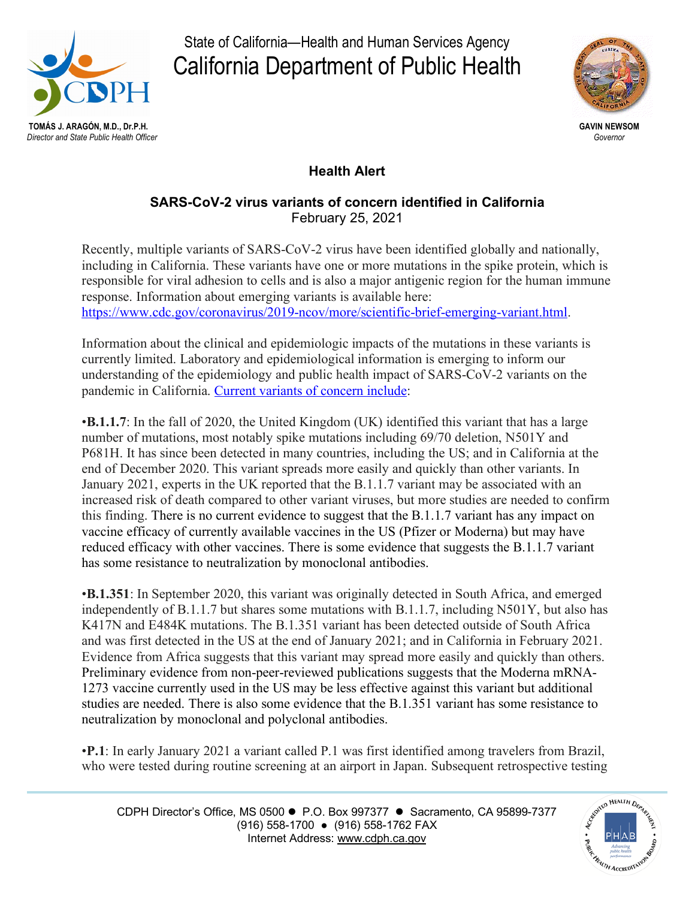

State of California—Health and Human Services Agency California Department of Public Health



# **Health Alert**

#### **SARS-CoV-2 virus variants of concern identified in California** February 25, 2021

Recently, multiple variants of SARS-CoV-2 virus have been identified globally and nationally, including in California. These variants have one or more mutations in the spike protein, which is responsible for viral adhesion to cells and is also a major antigenic region for the human immune response. Information about emerging variants is available here: [https://www.cdc.gov/coronavirus/2019-ncov/more/scientific-brief-emerging-variant.html.](https://www.cdc.gov/coronavirus/2019-ncov/more/scientific-brief-emerging-variant.html)

Information about the clinical and epidemiologic impacts of the mutations in these variants is currently limited. Laboratory and epidemiological information is emerging to inform our understanding of the epidemiology and public health impact of SARS-CoV-2 variants on the pandemic in California. [Current variants of concern include:](https://www.cdc.gov/coronavirus/2019-ncov/cases-updates/variant-surveillance/variant-info.html)

•**B.1.1.7**: In the fall of 2020, the United Kingdom (UK) identified this variant that has a large number of mutations, most notably spike mutations including 69/70 deletion, N501Y and P681H. It has since been detected in many countries, including the US; and in California at the end of December 2020. This variant spreads more easily and quickly than other variants. In January 2021, experts in the UK reported that the B.1.1.7 variant may be associated with an increased risk of death compared to other variant viruses, but more studies are needed to confirm this finding. There is no current evidence to suggest that the B.1.1.7 variant has any impact on vaccine efficacy of currently available vaccines in the US (Pfizer or Moderna) but may have reduced efficacy with other vaccines. There is some evidence that suggests the B.1.1.7 variant has some resistance to neutralization by monoclonal antibodies.

•**B.1.351**: In September 2020, this variant was originally detected in South Africa, and emerged independently of B.1.1.7 but shares some mutations with B.1.1.7, including N501Y, but also has K417N and E484K mutations. The B.1.351 variant has been detected outside of South Africa and was first detected in the US at the end of January 2021; and in California in February 2021. Evidence from Africa suggests that this variant may spread more easily and quickly than others. Preliminary evidence from non-peer-reviewed publications suggests that the Moderna mRNA-1273 vaccine currently used in the US may be less effective against this variant but additional studies are needed. There is also some evidence that the B.1.351 variant has some resistance to neutralization by monoclonal and polyclonal antibodies.

•**P.1**: In early January 2021 a variant called P.1 was first identified among travelers from Brazil, who were tested during routine screening at an airport in Japan. Subsequent retrospective testing